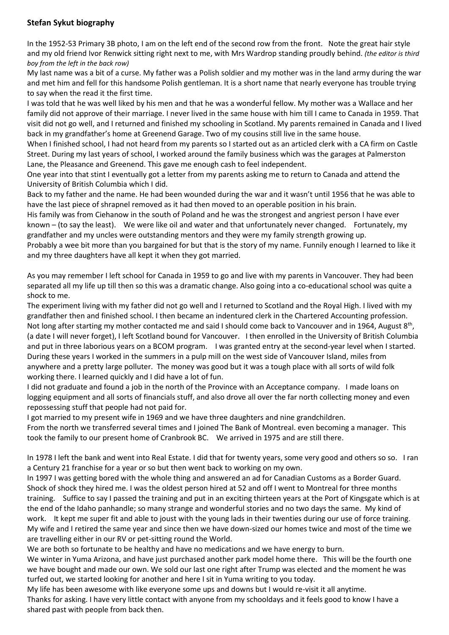## **Stefan Sykut biography**

In the 1952-53 Primary 3B photo, I am on the left end of the second row from the front. Note the great hair style and my old friend Ivor Renwick sitting right next to me, with Mrs Wardrop standing proudly behind. *(the editor is third boy from the left in the back row)*

My last name was a bit of a curse. My father was a Polish soldier and my mother was in the land army during the war and met him and fell for this handsome Polish gentleman. It is a short name that nearly everyone has trouble trying to say when the read it the first time.

I was told that he was well liked by his men and that he was a wonderful fellow. My mother was a Wallace and her family did not approve of their marriage. I never lived in the same house with him till I came to Canada in 1959. That visit did not go well, and I returned and finished my schooling in Scotland. My parents remained in Canada and I lived back in my grandfather's home at Greenend Garage. Two of my cousins still live in the same house.

When I finished school, I had not heard from my parents so I started out as an articled clerk with a CA firm on Castle Street. During my last years of school, I worked around the family business which was the garages at Palmerston Lane, the Pleasance and Greenend. This gave me enough cash to feel independent.

One year into that stint I eventually got a letter from my parents asking me to return to Canada and attend the University of British Columbia which I did.

Back to my father and the name. He had been wounded during the war and it wasn't until 1956 that he was able to have the last piece of shrapnel removed as it had then moved to an operable position in his brain.

His family was from Ciehanow in the south of Poland and he was the strongest and angriest person I have ever known – (to say the least). We were like oil and water and that unfortunately never changed. Fortunately, my grandfather and my uncles were outstanding mentors and they were my family strength growing up.

Probably a wee bit more than you bargained for but that is the story of my name. Funnily enough I learned to like it and my three daughters have all kept it when they got married.

As you may remember I left school for Canada in 1959 to go and live with my parents in Vancouver. They had been separated all my life up till then so this was a dramatic change. Also going into a co-educational school was quite a shock to me.

The experiment living with my father did not go well and I returned to Scotland and the Royal High. I lived with my grandfather then and finished school. I then became an indentured clerk in the Chartered Accounting profession. Not long after starting my mother contacted me and said I should come back to Vancouver and in 1964, August 8<sup>th</sup>, (a date I will never forget), I left Scotland bound for Vancouver. I then enrolled in the University of British Columbia and put in three laborious years on a BCOM program. I was granted entry at the second-year level when I started. During these years I worked in the summers in a pulp mill on the west side of Vancouver Island, miles from anywhere and a pretty large polluter. The money was good but it was a tough place with all sorts of wild folk working there. I learned quickly and I did have a lot of fun.

I did not graduate and found a job in the north of the Province with an Acceptance company. I made loans on logging equipment and all sorts of financials stuff, and also drove all over the far north collecting money and even repossessing stuff that people had not paid for.

I got married to my present wife in 1969 and we have three daughters and nine grandchildren.

From the north we transferred several times and I joined The Bank of Montreal. even becoming a manager. This took the family to our present home of Cranbrook BC. We arrived in 1975 and are still there.

In 1978 I left the bank and went into Real Estate. I did that for twenty years, some very good and others so so. I ran a Century 21 franchise for a year or so but then went back to working on my own.

In 1997 I was getting bored with the whole thing and answered an ad for Canadian Customs as a Border Guard. Shock of shock they hired me. I was the oldest person hired at 52 and off I went to Montreal for three months training. Suffice to say I passed the training and put in an exciting thirteen years at the Port of Kingsgate which is at the end of the Idaho panhandle; so many strange and wonderful stories and no two days the same. My kind of work. It kept me super fit and able to joust with the young lads in their twenties during our use of force training. My wife and I retired the same year and since then we have down-sized our homes twice and most of the time we are travelling either in our RV or pet-sitting round the World.

We are both so fortunate to be healthy and have no medications and we have energy to burn.

We winter in Yuma Arizona, and have just purchased another park model home there. This will be the fourth one we have bought and made our own. We sold our last one right after Trump was elected and the moment he was turfed out, we started looking for another and here I sit in Yuma writing to you today.

My life has been awesome with like everyone some ups and downs but I would re-visit it all anytime. Thanks for asking. I have very little contact with anyone from my schooldays and it feels good to know I have a shared past with people from back then.